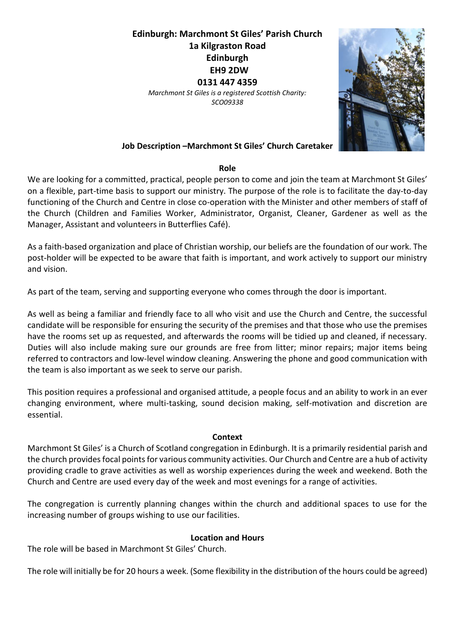# **Edinburgh: Marchmont St Giles' Parish Church 1a Kilgraston Road Edinburgh EH9 2DW 0131 447 4359** *Marchmont St Giles is a registered Scottish Charity: SCO09338*



### **Job Description –Marchmont St Giles' Church Caretaker**

#### **Role**

We are looking for a committed, practical, people person to come and join the team at Marchmont St Giles' on a flexible, part-time basis to support our ministry. The purpose of the role is to facilitate the day-to-day functioning of the Church and Centre in close co-operation with the Minister and other members of staff of the Church (Children and Families Worker, Administrator, Organist, Cleaner, Gardener as well as the Manager, Assistant and volunteers in Butterflies Café).

As a faith-based organization and place of Christian worship, our beliefs are the foundation of our work. The post-holder will be expected to be aware that faith is important, and work actively to support our ministry and vision.

As part of the team, serving and supporting everyone who comes through the door is important.

As well as being a familiar and friendly face to all who visit and use the Church and Centre, the successful candidate will be responsible for ensuring the security of the premises and that those who use the premises have the rooms set up as requested, and afterwards the rooms will be tidied up and cleaned, if necessary. Duties will also include making sure our grounds are free from litter; minor repairs; major items being referred to contractors and low-level window cleaning. Answering the phone and good communication with the team is also important as we seek to serve our parish.

This position requires a professional and organised attitude, a people focus and an ability to work in an ever changing environment, where multi-tasking, sound decision making, self-motivation and discretion are essential.

#### **Context**

Marchmont St Giles' is a Church of Scotland congregation in Edinburgh. It is a primarily residential parish and the church provides focal points for various community activities. Our Church and Centre are a hub of activity providing cradle to grave activities as well as worship experiences during the week and weekend. Both the Church and Centre are used every day of the week and most evenings for a range of activities.

The congregation is currently planning changes within the church and additional spaces to use for the increasing number of groups wishing to use our facilities.

#### **Location and Hours**

The role will be based in Marchmont St Giles' Church.

The role will initially be for 20 hours a week. (Some flexibility in the distribution of the hours could be agreed)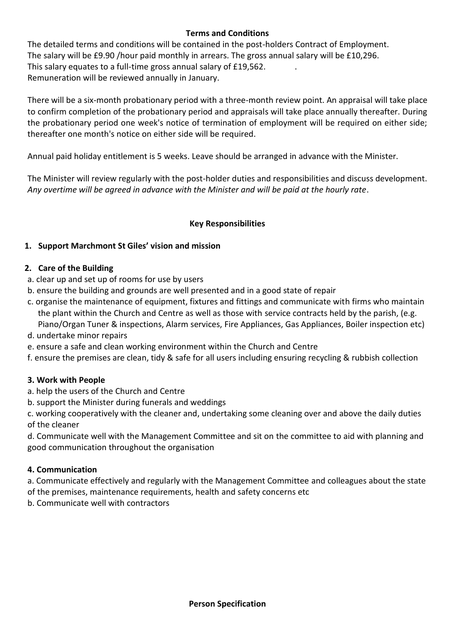## **Terms and Conditions**

The detailed terms and conditions will be contained in the post-holders Contract of Employment. The salary will be £9.90 /hour paid monthly in arrears. The gross annual salary will be £10,296. This salary equates to a full-time gross annual salary of £19,562. . Remuneration will be reviewed annually in January.

There will be a six-month probationary period with a three-month review point. An appraisal will take place to confirm completion of the probationary period and appraisals will take place annually thereafter. During the probationary period one week's notice of termination of employment will be required on either side; thereafter one month's notice on either side will be required.

Annual paid holiday entitlement is 5 weeks. Leave should be arranged in advance with the Minister.

The Minister will review regularly with the post-holder duties and responsibilities and discuss development. *Any overtime will be agreed in advance with the Minister and will be paid at the hourly rate*.

# **Key Responsibilities**

# **1. Support Marchmont St Giles' vision and mission**

## **2. Care of the Building**

- a. clear up and set up of rooms for use by users
- b. ensure the building and grounds are well presented and in a good state of repair
- c. organise the maintenance of equipment, fixtures and fittings and communicate with firms who maintain the plant within the Church and Centre as well as those with service contracts held by the parish, (e.g. Piano/Organ Tuner & inspections, Alarm services, Fire Appliances, Gas Appliances, Boiler inspection etc)
- d. undertake minor repairs
- e. ensure a safe and clean working environment within the Church and Centre
- f. ensure the premises are clean, tidy & safe for all users including ensuring recycling & rubbish collection

# **3. Work with People**

- a. help the users of the Church and Centre
- b. support the Minister during funerals and weddings

c. working cooperatively with the cleaner and, undertaking some cleaning over and above the daily duties of the cleaner

d. Communicate well with the Management Committee and sit on the committee to aid with planning and good communication throughout the organisation

## **4. Communication**

a. Communicate effectively and regularly with the Management Committee and colleagues about the state of the premises, maintenance requirements, health and safety concerns etc

b. Communicate well with contractors